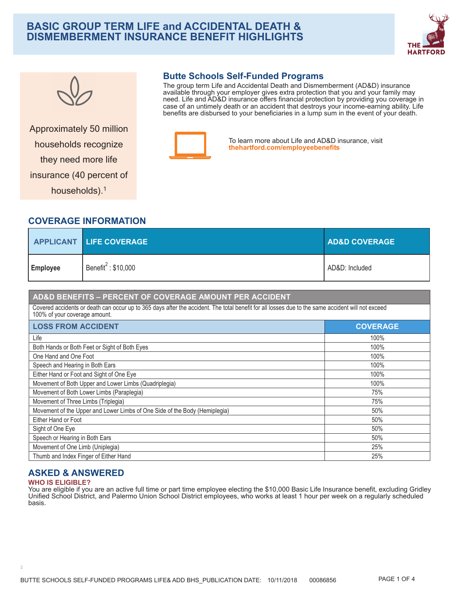# **BASIC GROUP TERM LIFE and ACCIDENTAL DEATH & DISMEMBERMENT INSURANCE BENEFIT HIGHLIGHTS**





# Approximately 50 million households recognize they need more life insurance (40 percent of households).<sup>1</sup>

## **Butte Schools Self-Funded Programs**

The group term Life and Accidental Death and Dismemberment (AD&D) insurance available through your employer gives extra protection that you and your family may need. Life and AD&D insurance offers financial protection by providing you coverage in case of an untimely death or an accident that destroys your income-earning ability. Life benefits are disbursed to your beneficiaries in a lump sum in the event of your death.



To learn more about Life and AD&D insurance, visit **[thehartford.com/employeebenefits](https://www.thehartford.com/employeebenefits)** 

## **COVERAGE INFORMATION**

|                 | <b>APPLICANT LIFE COVERAGE</b> | <b>AD&amp;D COVERAGE</b> |
|-----------------|--------------------------------|--------------------------|
| <b>Employee</b> | Benefit $2$ : \$10,000         | AD&D: Included           |

## **AD&D BENEFITS – PERCENT OF COVERAGE AMOUNT PER ACCIDENT**

 $p_{\rm{max}}$ 

Covered accidents or death can occur up to 365 days after the accident. The total benefit for all losses due to the same accident will not exceed 100% of your coverage amount.

| <b>LOSS FROM ACCIDENT</b>                                                  | <b>COVERAGE</b> |
|----------------------------------------------------------------------------|-----------------|
| Life                                                                       | 100%            |
| Both Hands or Both Feet or Sight of Both Eyes                              | 100%            |
| One Hand and One Foot                                                      | 100%            |
| Speech and Hearing in Both Ears                                            | 100%            |
| Either Hand or Foot and Sight of One Eye                                   | 100%            |
| Movement of Both Upper and Lower Limbs (Quadriplegia)                      | 100%            |
| Movement of Both Lower Limbs (Paraplegia)                                  | 75%             |
| Movement of Three Limbs (Triplegia)                                        | 75%             |
| Movement of the Upper and Lower Limbs of One Side of the Body (Hemiplegia) | 50%             |
| Either Hand or Foot                                                        | 50%             |
| Sight of One Eye                                                           | 50%             |
| Speech or Hearing in Both Ears                                             | 50%             |
| Movement of One Limb (Uniplegia)                                           | 25%             |
| Thumb and Index Finger of Either Hand                                      | 25%             |

### **ASKED & ANSWERED WHO IS ELIGIBLE?**

You are eligible if you are an active full time or part time employee electing the \$10,000 Basic Life Insurance benefit, excluding Gridley Unified School District, and Palermo Union School District employees, who works at least 1 hour per week on a regularly scheduled basis.

2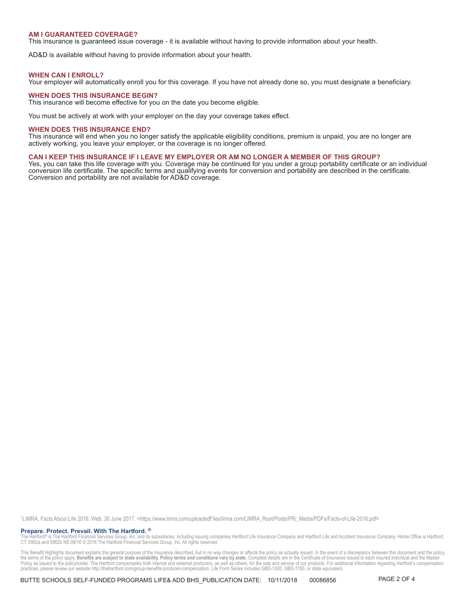#### **AM I GUARANTEED COVERAGE?**

This insurance is guaranteed issue coverage - it is available without having to provide information about your health.

AD&D is available without having to provide information about your health.

#### **WHEN CAN I ENROLL?**

Your employer will automatically enroll you for this coverage. If you have not already done so, you must designate a beneficiary.

### **WHEN DOES THIS INSURANCE BEGIN?**

This insurance will become effective for you on the date you become eligible.

You must be actively at work with your employer on the day your coverage takes effect.

#### **WHEN DOES THIS INSURANCE END?**

This insurance will end when you no longer satisfy the applicable eligibility conditions, premium is unpaid, you are no longer are actively working, you leave your employer, or the coverage is no longer offered.

#### **CAN I KEEP THIS INSURANCE IF I LEAVE MY EMPLOYER OR AM NO LONGER A MEMBER OF THIS GROUP?**

Yes, you can take this life coverage with you. Coverage may be continued for you under a group portability certificate or an individual conversion life certificate. The specific terms and qualifying events for conversion and portability are described in the certificate. Conversion and portability are not available for AD&D coverage.

1LIMRA, Facts About Life 2016. Web. 30 June 2017. <https://www.limra.com/uploadedFiles/limra.com/LIMRA\_Root/Posts/PR/\_Media/PDFs/Facts-of-Life-2016.pdf>

**Prepare. Protect. Prevail. With The Hartford. ®**<br>The Hartford® is The Hartford Financial Services Group, Inc. and its subsidiaries, including issuing companies Hartford Life Insurance Company and Hartford Life and Accide

This Benefit Highlights document explains the general purpose of the insurance described, but in no way changes or affects the policy as actually issued. In the event of a discrepancy between this document and the policy,<br> practices, please review our website http://thehartford.com/group-benefits-producer-compensation. Life Form Series includes GBD-1000, GBD-1100, or state equivalent.